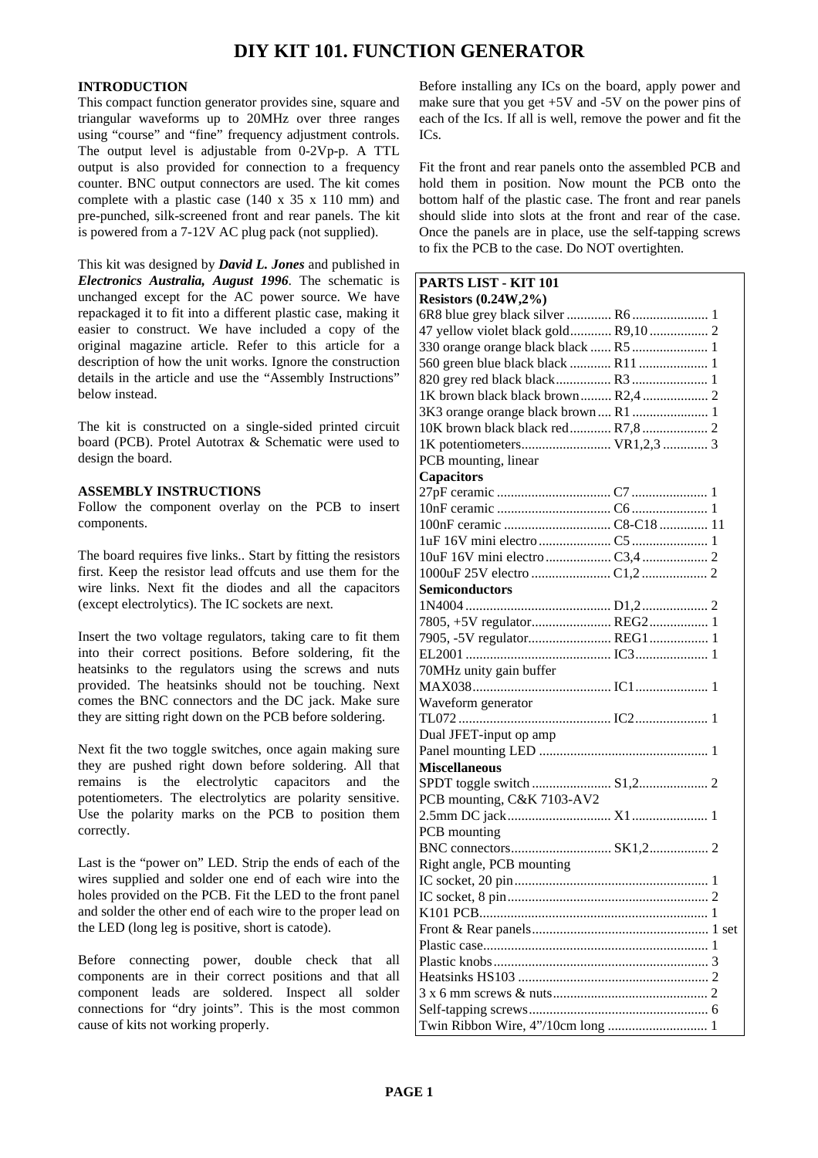## **DIY KIT 101. FUNCTION GENERATOR**

## **INTRODUCTION**

This compact function generator provides sine, square and triangular waveforms up to 20MHz over three ranges using "course" and "fine" frequency adjustment controls. The output level is adjustable from 0-2Vp-p. A TTL output is also provided for connection to a frequency counter. BNC output connectors are used. The kit comes complete with a plastic case (140 x 35 x 110 mm) and pre-punched, silk-screened front and rear panels. The kit is powered from a 7-12V AC plug pack (not supplied).

This kit was designed by *David L. Jones* and published in *Electronics Australia, August 1996*. The schematic is unchanged except for the AC power source. We have repackaged it to fit into a different plastic case, making it easier to construct. We have included a copy of the original magazine article. Refer to this article for a description of how the unit works. Ignore the construction details in the article and use the "Assembly Instructions" below instead.

The kit is constructed on a single-sided printed circuit board (PCB). Protel Autotrax & Schematic were used to design the board.

## **ASSEMBLY INSTRUCTIONS**

Follow the component overlay on the PCB to insert components.

The board requires five links.. Start by fitting the resistors first. Keep the resistor lead offcuts and use them for the wire links. Next fit the diodes and all the capacitors (except electrolytics). The IC sockets are next.

Insert the two voltage regulators, taking care to fit them into their correct positions. Before soldering, fit the heatsinks to the regulators using the screws and nuts provided. The heatsinks should not be touching. Next comes the BNC connectors and the DC jack. Make sure they are sitting right down on the PCB before soldering.

Next fit the two toggle switches, once again making sure they are pushed right down before soldering. All that remains is the electrolytic capacitors and the potentiometers. The electrolytics are polarity sensitive. Use the polarity marks on the PCB to position them correctly.

Last is the "power on" LED. Strip the ends of each of the wires supplied and solder one end of each wire into the holes provided on the PCB. Fit the LED to the front panel and solder the other end of each wire to the proper lead on the LED (long leg is positive, short is catode).

Before connecting power, double check that all components are in their correct positions and that all component leads are soldered. Inspect all solder connections for "dry joints". This is the most common cause of kits not working properly.

Before installing any ICs on the board, apply power and make sure that you get +5V and -5V on the power pins of each of the Ics. If all is well, remove the power and fit the ICs.

Fit the front and rear panels onto the assembled PCB and hold them in position. Now mount the PCB onto the bottom half of the plastic case. The front and rear panels should slide into slots at the front and rear of the case. Once the panels are in place, use the self-tapping screws to fix the PCB to the case. Do NOT overtighten.

| PARTS LIST - KIT 101                 |  |
|--------------------------------------|--|
| <b>Resistors (0.24W,2%)</b>          |  |
|                                      |  |
| 47 yellow violet black gold R9,10 2  |  |
| 330 orange orange black black  R5  1 |  |
|                                      |  |
|                                      |  |
| 1K brown black black brown R2,4 2    |  |
| 3K3 orange orange black brown R1 1   |  |
| 10K brown black black red R7,8 2     |  |
| 1K potentiometers VR1,2,3 3          |  |
| PCB mounting, linear                 |  |
| Capacitors                           |  |
|                                      |  |
|                                      |  |
|                                      |  |
|                                      |  |
|                                      |  |
|                                      |  |
| <b>Semiconductors</b>                |  |
|                                      |  |
| 7805, +5V regulator REG2 1           |  |
| 7905, -5V regulator REG1 1           |  |
|                                      |  |
| 70MHz unity gain buffer              |  |
|                                      |  |
| Waveform generator                   |  |
|                                      |  |
|                                      |  |
| Dual JFET-input op amp               |  |
|                                      |  |
| <b>Miscellaneous</b>                 |  |
| SPDT toggle switch  S1,2 2           |  |
| PCB mounting, C&K 7103-AV2           |  |
|                                      |  |
| PCB mounting                         |  |
|                                      |  |
| Right angle, PCB mounting            |  |
|                                      |  |
|                                      |  |
|                                      |  |
|                                      |  |
|                                      |  |
|                                      |  |
|                                      |  |
|                                      |  |
|                                      |  |
|                                      |  |